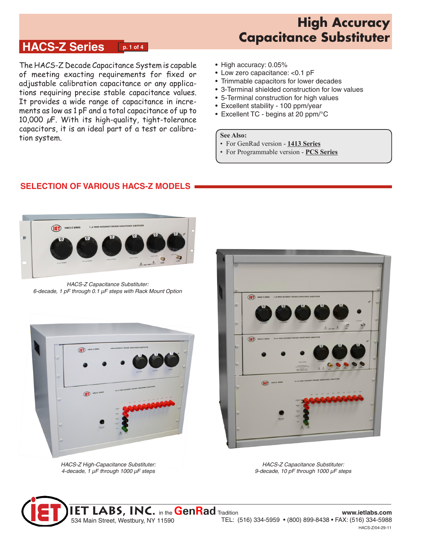## **HACS-Z Series p. 1 of 4**

The HACS-Z Decade Capacitance System is capable of meeting exacting requirements for fixed or adjustable calibration capacitance or any applications requiring precise stable capacitance values. It provides a wide range of capacitance in increments as low as 1 pF and a total capacitance of up to 10,000 µF. With its high-quality, tight-tolerance capacitors, it is an ideal part of a test or calibration system.

- High accuracy: 0.05%
- Low zero capacitance: <0.1 pF
- Trimmable capacitors for lower decades
- 3-Terminal shielded construction for low values
- 5-Terminal construction for high values
- Excellent stability 100 ppm/year
- Excellent TC begins at 20 ppm/°C

### **See Also:**

- For GenRad version **[1413 Series](http://www.ietlabs.com/pdf/Datasheets/1413.pdf)**
- For Programmable version **PC[S Series](http://www.ietlabs.com/pdf/Datasheets/1413.pdf)**

## **SELECTION OF VARIOUS HACS-Z MODELS**



*HACS-Z Capacitance Substituter: 6-decade, 1 pF through 0.1 µF steps with Rack Mount Option*



*HACS-Z High-Capacitance Substituter: 4-decade, 1 µF through 1000 µF steps*



*HACS-Z Capacitance Substituter: 9-decade, 10 pF through 1000 µF steps*

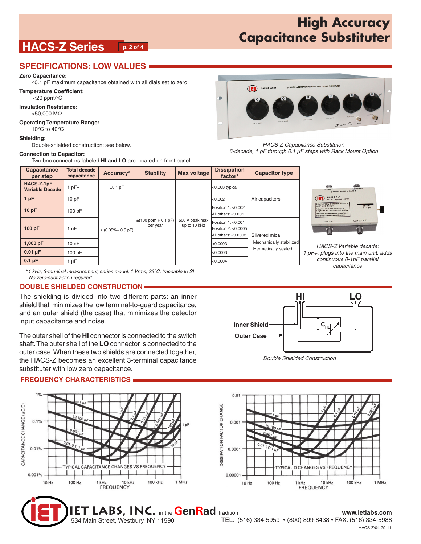# **HACS-Z Series p. 2 of 4**

### **SPECIFICATIONS: LOW VALUES**

**Zero Capacitance:**

≤0.1 pF maximum capacitance obtained with all dials set to zero;

**Temperature Coefficient:**

<20 ppm/°C

**Insulation Resistance:**  >50,000 MΩ

### **Operating Temperature Range:**

10°C to 40°C

#### **Shielding:**

Double-shielded construction; see below.

#### **Connection to Capacitor:**

Two bnc connectors labeled **HI** and **LO** are located on front panel.

| т | 1 µF HIGH ACCURACY DECADE CAPACITANCE SUBSTITUTER<br><b>HACS-Z SERIES</b><br><b>JET</b><br>nF<br>$\circ$<br>$\overline{0}$<br>$\mathbf{0}$<br>$\mathbf{o}$ | r 1 |
|---|------------------------------------------------------------------------------------------------------------------------------------------------------------|-----|
|   | YAR STEPS<br>10 pF STEPS                                                                                                                                   |     |
|   | 120 of STEPS<br>1000 pF STEPS<br>0.01 µF STEPS<br>LOW<br>$\mathbb{A}$ souv max $\mathbb{A}$<br>0.1 µF STEPS<br>HIGH                                        |     |
|   |                                                                                                                                                            |     |

#### *HACS-Z Capacitance Substituter: 6-decade, 1 pF through 0.1 µF steps with Rack Mount Option*

| <b>Capacitance</b><br>per step       | <b>Total decade</b><br>capacitance | Accuracy*                        | <b>Stability</b>                     | <b>Max voltage</b>             | <b>Dissipation</b><br>factor*                                       | <b>Capacitor type</b>                                                             |                                                                                                                                                                                                          |  |
|--------------------------------------|------------------------------------|----------------------------------|--------------------------------------|--------------------------------|---------------------------------------------------------------------|-----------------------------------------------------------------------------------|----------------------------------------------------------------------------------------------------------------------------------------------------------------------------------------------------------|--|
| HACS-Z-1pF<br><b>Variable Decade</b> | $1pF+$                             | $\pm 0.1$ pF                     | $\pm (100$ ppm + 0.1 pF)<br>per year | 500 V peak max<br>up to 10 kHz | <0.003 typical                                                      | Air capacitors<br>Silvered mica<br>Mechanically stabilized<br>Hermetically sealed | LOW INPUT<br><b>BA</b><br><b>HUNPUT</b><br>to 1413 or HACS-Z)                                                                                                                                            |  |
| 1 pF                                 | 10pF                               | $\pm (0.05\% + 0.5 \,\text{pF})$ |                                      |                                | <0.002                                                              |                                                                                   | (IET) HACS-Z-1pF<br>0-1 pF VARIABLE DECADE                                                                                                                                                               |  |
| 10pF                                 | 100pF                              |                                  |                                      |                                | Position 1: <0.002<br>All others: $< 0.001$                         |                                                                                   | Attach directly or with bnc cables to<br>1413/HACS-Z output.<br>SETTING<br>0-1 pF+<br>th to add continuour<br>- to the 1413/HACS-Z setting<br>HACS-Z minimum capacitance<br>remain within specifications |  |
| 100 pF                               | 1 nF                               |                                  |                                      |                                | Position $1: < 0.001$<br>Position 2: <0.0005<br>All others: <0.0003 |                                                                                   | LOW OUTPUT<br>HI OUTPUT                                                                                                                                                                                  |  |
| $1,000$ pF                           | 10nF                               |                                  |                                      |                                | k0.0003⊦                                                            |                                                                                   | HACS-Z Variable decade:                                                                                                                                                                                  |  |
| $0.01 \mu F$                         | 100 nF                             |                                  |                                      |                                | <0.0003                                                             |                                                                                   | 1 pF+, plugs into the main unit, adds                                                                                                                                                                    |  |
| $0.1 \mu F$                          | 1 µF                               |                                  |                                      |                                | < 0.0004                                                            |                                                                                   | continuous 0-1pF parallel<br>conocitonos                                                                                                                                                                 |  |

**\****1 kHz*, *3-terminal measurement; series model; 1 Vrms, 23°C; traceable to SI No zero-subtraction required*

### **DOUBLE SHIELDED CONSTRUCTION**

The shielding is divided into two different parts: an inner shield that minimizes the low terminal-to-guard capacitance, and an outer shield (the case) that minimizes the detector input capacitance and noise.

The outer shell of the **HI** connector is connected to the switch shaft. The outer shell of the **LO** connector is connected to the outer case. When these two shields are connected together, the HACS-Z becomes an excellent 3-terminal capacitance substituter with low zero capacitance.

### **FREQUENCY CHARACTERISTICS**





*continuous 0-1pF parallel capacitance*



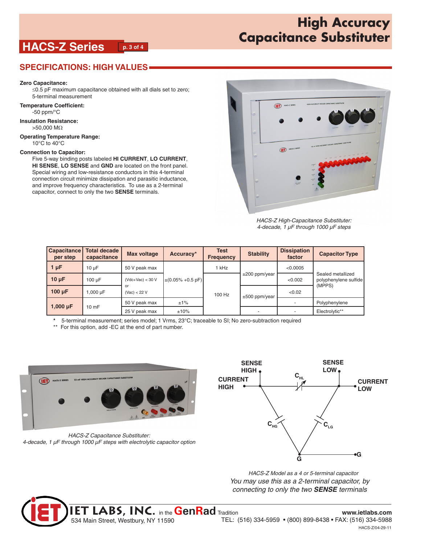# **HACS-Z Series p. 3 of 4**

## **SPECIFICATIONS: HIGH VALUES**

### **Zero Capacitance:**

≤0.5 pF maximum capacitance obtained with all dials set to zero; 5-terminal measurement

**Temperature Coefficient:** -50 ppm/°C

**Insulation Resistance:**  >50,000 MΩ

**Operating Temperature Range:**

10°C to 40°C

#### **Connection to Capacitor:**

Five 5-way binding posts labeled **HI CURRENT**, **LO CURRENT**, **HI SENSE**, **LO SENSE** and **GND** are located on the front panel. Special wiring and low-resistance conductors in this 4-terminal connection circuit minimize dissipation and parasitic inductance, and improve frequency characteristics. To use as a 2-terminal capacitor, connect to only the two **SENSE** terminals.



*HACS-Z High-Capacitance Substituter: 4-decade, 1 µF through 1000 µF steps*

| <b>Capacitance</b><br>per step | <b>Total decade</b><br>capacitance | <b>Max voltage</b> | Accuracy*                               | <b>Test</b><br><b>Frequency</b> | <b>Stability</b>   | <b>Dissipation</b><br>factor | <b>Capacitor Type</b>                      |
|--------------------------------|------------------------------------|--------------------|-----------------------------------------|---------------------------------|--------------------|------------------------------|--------------------------------------------|
| $1 \mu F$                      | 10 <sub>u</sub> F                  | 50 V peak max      | $\pm (0.05\% + 0.5 \,\text{pF})$<br>±1% | 1 kHz                           | $\pm 200$ ppm/year | < 0.0005                     | Sealed metallized<br>polyphenylene sulfide |
| $10 \mu F$                     | 100 uF                             | $(Vdc+Vac) < 30 V$ |                                         |                                 |                    | < 0.002                      |                                            |
| $100 \mu F$                    | I,000 µF                           | or<br>(Vac) < 22 V |                                         | 100 Hz                          | $\pm 500$ ppm/year | < 0.02                       | (MPPS)                                     |
| 1,000 $\mu$ F                  | 10 <sub>mF</sub>                   | 50 V peak max      |                                         |                                 |                    |                              | Polyphenylene                              |
|                                |                                    | 25 V peak max      | ±10%                                    |                                 |                    | $\overline{a}$               | Electrolytic**                             |

**\*** 5-terminal measurement; series model; 1 Vrms, 23°C; traceable to SI; No zero-subtraction required

\*\* For this option, add -EC at the end of part number.



*HACS-Z Capacitance Substituter: 4-decade, 1 µF through 1000 µF steps with electrolytic capacitor option*



*HACS-Z Model as a 4 or 5-terminal capacitor You may use this as a 2-terminal capacitor, by connecting to only the two SENSE terminals*